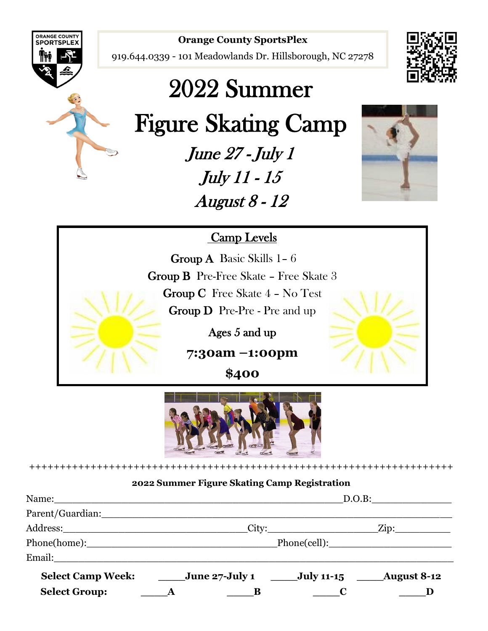

#### **Orange County SportsPlex**

919.644.0339 - 101 Meadowlands Dr. Hillsborough, NC 27278





# 2022 Summer

Figure Skating Camp

June 27 - July 1 July 11 - 15 August 8 - 12



# Camp Levels

 Group C Free Skate 4 – No Test Group A Basic Skills 1– 6 Group B Pre-Free Skate – Free Skate 3 Group D Pre-Pre - Pre and up

Ages 5 and up

**7:30am –1:00pm** 

**\$400** 



#### +++++++++++++++++++++++++++++++++++++++++++++++++++++++++++++++++++++

#### **2022 Summer Figure Skating Camp Registration**

|                      | Name:<br>D.O.B:                                         |  |
|----------------------|---------------------------------------------------------|--|
| Parent/Guardian:     |                                                         |  |
|                      |                                                         |  |
|                      | Phone(home): Phone(cell):                               |  |
| Email:               |                                                         |  |
|                      | Select Camp Week: June 27-July 1 July 11-15 August 8-12 |  |
| <b>Select Group:</b> | $\overline{A}$                                          |  |